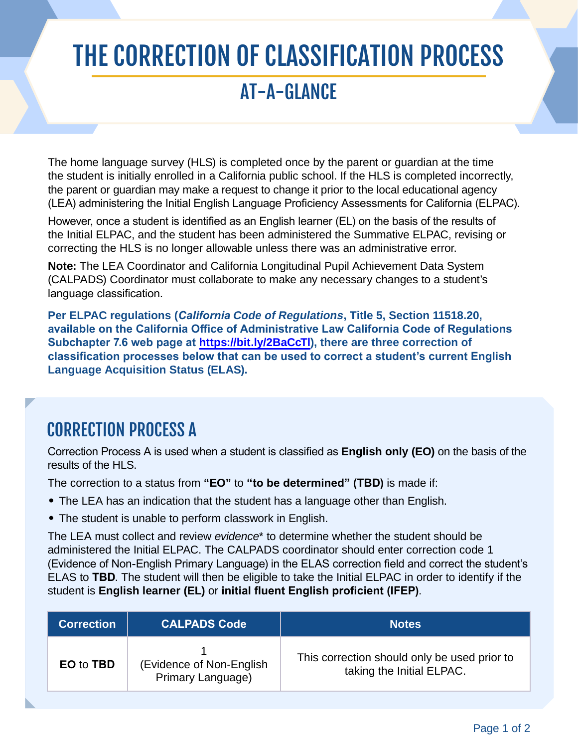# THE CORRECTION OF CLASSIFICATION PROCESS

# AT-A-GLANCE

The home language survey (HLS) is completed once by the parent or guardian at the time the student is initially enrolled in a California public school. If the HLS is completed incorrectly, the parent or guardian may make a request to change it prior to the local educational agency (LEA) administering the Initial English Language Proficiency Assessments for California (ELPAC).

However, once a student is identified as an English learner (EL) on the basis of the results of the Initial ELPAC, and the student has been administered the Summative ELPAC, revising or correcting the HLS is no longer allowable unless there was an administrative error.

**Note:** The LEA Coordinator and California Longitudinal Pupil Achievement Data System (CALPADS) Coordinator must collaborate to make any necessary changes to a student's language classification.

**Per ELPAC regulations (***California* **Code of Regulations, Title 5, Section 11518.20, available on the California Office of Administrative Law California Code of Regulations Subchapter 7.6 web page at [https://bit.ly/2BaCcTl\), the](https://bit.ly/2BaCcTl)re are three correction of classification processes below that can be used to correct a student's current English Language Acquisition Status (ELAS).**

#### CORRECTION PROCESS A

Correction Process A is used when a student is classified as **English only (EO)** on the basis of the results of the HLS.

The correction to a status from **"EO"** to **"to be determined" (TBD)** is made if:

- The LEA has an indication that the student has a language other than English.
- The student is unable to perform classwork in English.

The LEA must collect and review *evidence*\* to determine whether the student should be administered the Initial ELPAC. The CALPADS coordinator should enter correction code 1 (Evidence of Non-English Primary Language) in the ELAS correction field and correct the student's ELAS to **TBD**. The student will then be eligible to take the Initial ELPAC in order to identify if the student is **English learner (EL)** or **initial fluent English proficient (IFEP)**.

| <b>Correction</b> | <b>CALPADS Code</b>                            | <b>Notes</b>                                                              |
|-------------------|------------------------------------------------|---------------------------------------------------------------------------|
| EO to TBD         | (Evidence of Non-English)<br>Primary Language) | This correction should only be used prior to<br>taking the Initial ELPAC. |